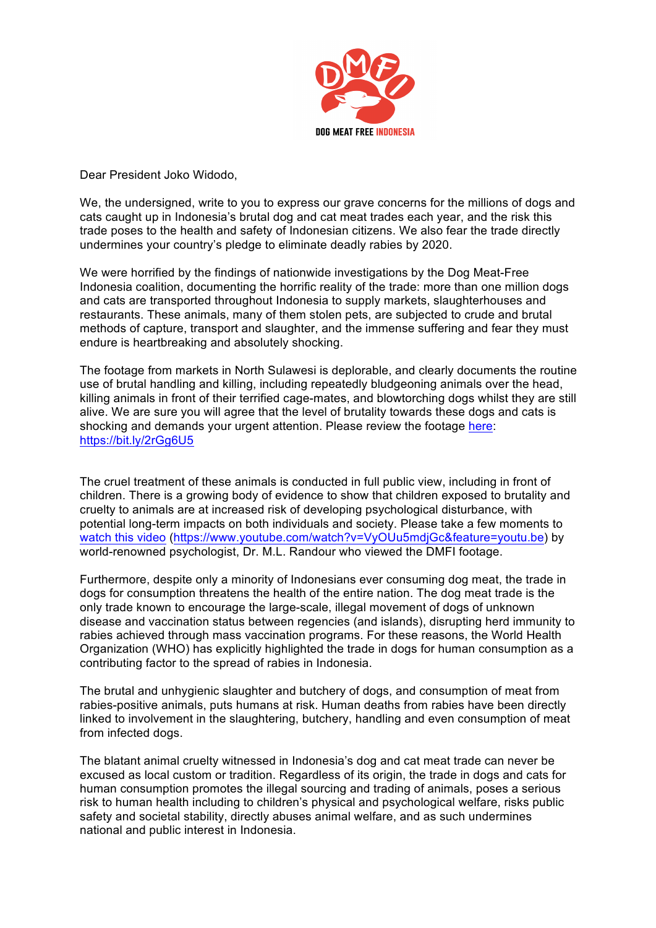

Dear President Joko Widodo,

We, the undersigned, write to you to express our grave concerns for the millions of dogs and cats caught up in Indonesia's brutal dog and cat meat trades each year, and the risk this trade poses to the health and safety of Indonesian citizens. We also fear the trade directly undermines your country's pledge to eliminate deadly rabies by 2020.

We were horrified by the findings of nationwide investigations by the Dog Meat-Free Indonesia coalition, documenting the horrific reality of the trade: more than one million dogs and cats are transported throughout Indonesia to supply markets, slaughterhouses and restaurants. These animals, many of them stolen pets, are subjected to crude and brutal methods of capture, transport and slaughter, and the immense suffering and fear they must endure is heartbreaking and absolutely shocking.

The footage from markets in North Sulawesi is deplorable, and clearly documents the routine use of brutal handling and killing, including repeatedly bludgeoning animals over the head, killing animals in front of their terrified cage-mates, and blowtorching dogs whilst they are still alive. We are sure you will agree that the level of brutality towards these dogs and cats is shocking and demands your urgent attention. Please review the footage here: https://bit.ly/2rGg6U5

The cruel treatment of these animals is conducted in full public view, including in front of children. There is a growing body of evidence to show that children exposed to brutality and cruelty to animals are at increased risk of developing psychological disturbance, with potential long-term impacts on both individuals and society. Please take a few moments to watch this video (https://www.youtube.com/watch?v=VyOUu5mdjGc&feature=youtu.be) by world-renowned psychologist. Dr. M.L. Randour who viewed the DMFI footage.

Furthermore, despite only a minority of Indonesians ever consuming dog meat, the trade in dogs for consumption threatens the health of the entire nation. The dog meat trade is the only trade known to encourage the large-scale, illegal movement of dogs of unknown disease and vaccination status between regencies (and islands), disrupting herd immunity to rabies achieved through mass vaccination programs. For these reasons, the World Health Organization (WHO) has explicitly highlighted the trade in dogs for human consumption as a contributing factor to the spread of rabies in Indonesia.

The brutal and unhygienic slaughter and butchery of dogs, and consumption of meat from rabies-positive animals, puts humans at risk. Human deaths from rabies have been directly linked to involvement in the slaughtering, butchery, handling and even consumption of meat from infected dogs.

The blatant animal cruelty witnessed in Indonesia's dog and cat meat trade can never be excused as local custom or tradition. Regardless of its origin, the trade in dogs and cats for human consumption promotes the illegal sourcing and trading of animals, poses a serious risk to human health including to children's physical and psychological welfare, risks public safety and societal stability, directly abuses animal welfare, and as such undermines national and public interest in Indonesia.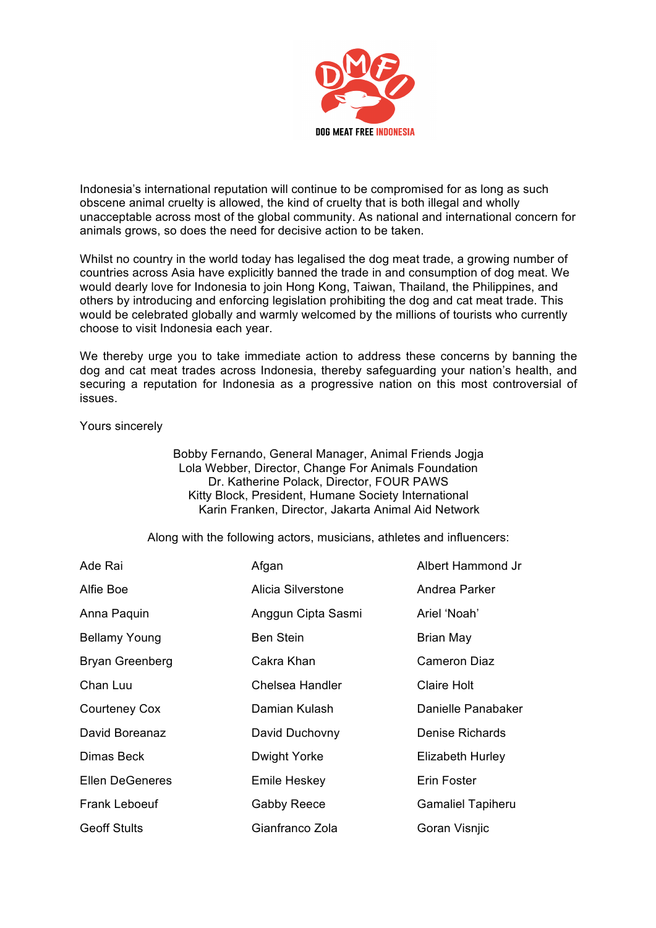

Indonesia's international reputation will continue to be compromised for as long as such obscene animal cruelty is allowed, the kind of cruelty that is both illegal and wholly unacceptable across most of the global community. As national and international concern for animals grows, so does the need for decisive action to be taken.

Whilst no country in the world today has legalised the dog meat trade, a growing number of countries across Asia have explicitly banned the trade in and consumption of dog meat. We would dearly love for Indonesia to join Hong Kong, Taiwan, Thailand, the Philippines, and others by introducing and enforcing legislation prohibiting the dog and cat meat trade. This would be celebrated globally and warmly welcomed by the millions of tourists who currently choose to visit Indonesia each year.

We thereby urge you to take immediate action to address these concerns by banning the dog and cat meat trades across Indonesia, thereby safeguarding your nation's health, and securing a reputation for Indonesia as a progressive nation on this most controversial of issues.

## Yours sincerely

Bobby Fernando, General Manager, Animal Friends Jogja Lola Webber, Director, Change For Animals Foundation Dr. Katherine Polack, Director, FOUR PAWS Kitty Block, President, Humane Society International Karin Franken, Director, Jakarta Animal Aid Network

Along with the following actors, musicians, athletes and influencers:

| Ade Rai                | Afgan              | Albert Hammond Jr        |
|------------------------|--------------------|--------------------------|
| Alfie Boe              | Alicia Silverstone | Andrea Parker            |
| Anna Paquin            | Anggun Cipta Sasmi | Ariel 'Noah'             |
| <b>Bellamy Young</b>   | <b>Ben Stein</b>   | Brian May                |
| <b>Bryan Greenberg</b> | Cakra Khan         | Cameron Diaz             |
| Chan Luu               | Chelsea Handler    | <b>Claire Holt</b>       |
| Courteney Cox          | Damian Kulash      | Danielle Panabaker       |
| David Boreanaz         | David Duchovny     | Denise Richards          |
| Dimas Beck             | Dwight Yorke       | Elizabeth Hurley         |
| <b>Ellen DeGeneres</b> | Emile Heskey       | Erin Foster              |
| <b>Frank Leboeuf</b>   | <b>Gabby Reece</b> | <b>Gamaliel Tapiheru</b> |
| <b>Geoff Stults</b>    | Gianfranco Zola    | Goran Visnjic            |